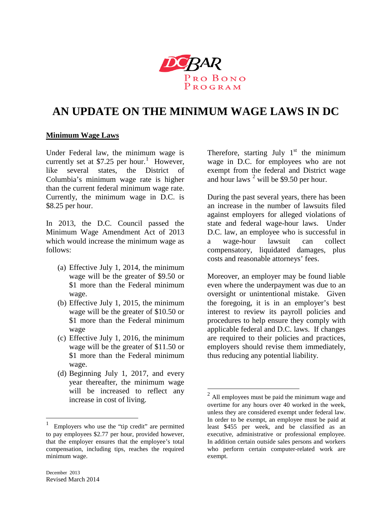

# **AN UPDATE ON THE MINIMUM WAGE LAWS IN DC**

 $\overline{a}$ 

#### **Minimum Wage Laws**

Under Federal law, the minimum wage is currently set at \$7.25 per hour.<sup>[1](#page-0-0)</sup> However, like several states, the District of Columbia's minimum wage rate is higher than the current federal minimum wage rate. Currently, the minimum wage in D.C. is \$8.25 per hour.

In 2013, the D.C. Council passed the Minimum Wage Amendment Act of 2013 which would increase the minimum wage as follows:

- (a) Effective July 1, 2014, the minimum wage will be the greater of \$9.50 or \$1 more than the Federal minimum wage.
- (b) Effective July 1, 2015, the minimum wage will be the greater of \$10.50 or \$1 more than the Federal minimum wage
- (c) Effective July 1, 2016, the minimum wage will be the greater of \$11.50 or \$1 more than the Federal minimum wage.
- (d) Beginning July 1, 2017, and every year thereafter, the minimum wage will be increased to reflect any increase in cost of living.

Therefore, starting July  $1<sup>st</sup>$  the minimum wage in D.C. for employees who are not exempt from the federal and District wage and hour laws  $2$  will be \$9.50 per hour.

During the past several years, there has been an increase in the number of lawsuits filed against employers for alleged violations of state and federal wage-hour laws. Under D.C. law, an employee who is successful in a wage-hour lawsuit can collect compensatory, liquidated damages, plus costs and reasonable attorneys' fees.

Moreover, an employer may be found liable even where the underpayment was due to an oversight or unintentional mistake. Given the foregoing, it is in an employer's best interest to review its payroll policies and procedures to help ensure they comply with applicable federal and D.C. laws. If changes are required to their policies and practices, employers should revise them immediately, thus reducing any potential liability.

<span id="page-0-1"></span> $\overline{a}$ 

<span id="page-0-0"></span><sup>1</sup> Employers who use the "tip credit" are permitted to pay employees \$2.77 per hour, provided however, that the employer ensures that the employee's total compensation, including tips, reaches the required minimum wage.

 $2<sup>2</sup>$  All employees must be paid the minimum wage and overtime for any hours over 40 worked in the week, unless they are considered exempt under federal law. In order to be exempt, an employee must be paid at least \$455 per week, and be classified as an executive, administrative or professional employee. In addition certain outside sales persons and workers who perform certain computer-related work are exempt.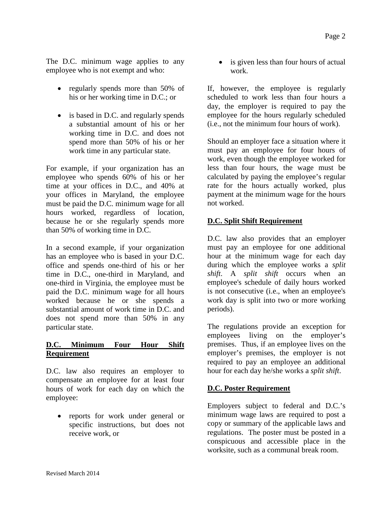The D.C. minimum wage applies to any employee who is not exempt and who:

- regularly spends more than 50% of his or her working time in D.C.; or
- is based in D.C. and regularly spends a substantial amount of his or her working time in D.C. and does not spend more than 50% of his or her work time in any particular state.

For example, if your organization has an employee who spends 60% of his or her time at your offices in D.C., and 40% at your offices in Maryland, the employee must be paid the D.C. minimum wage for all hours worked, regardless of location, because he or she regularly spends more than 50% of working time in D.C.

In a second example, if your organization has an employee who is based in your D.C. office and spends one-third of his or her time in D.C., one-third in Maryland, and one-third in Virginia, the employee must be paid the D.C. minimum wage for all hours worked because he or she spends a substantial amount of work time in D.C. and does not spend more than 50% in any particular state.

## **D.C. Minimum Four Hour Shift Requirement**

D.C. law also requires an employer to compensate an employee for at least four hours of work for each day on which the employee:

• reports for work under general or specific instructions, but does not receive work, or

• is given less than four hours of actual work.

If, however, the employee is regularly scheduled to work less than four hours a day, the employer is required to pay the employee for the hours regularly scheduled (i.e., not the minimum four hours of work).

Should an employer face a situation where it must pay an employee for four hours of work, even though the employee worked for less than four hours, the wage must be calculated by paying the employee's regular rate for the hours actually worked, plus payment at the minimum wage for the hours not worked.

# **D.C. Split Shift Requirement**

D.C. law also provides that an employer must pay an employee for one additional hour at the minimum wage for each day during which the employee works a *split shift*. A *split shift* occurs when an employee's schedule of daily hours worked is not consecutive (i.e., when an employee's work day is split into two or more working periods).

The regulations provide an exception for employees living on the employer's premises. Thus, if an employee lives on the employer's premises, the employer is not required to pay an employee an additional hour for each day he/she works a *split shift*.

## **D.C. Poster Requirement**

Employers subject to federal and D.C.'s minimum wage laws are required to post a copy or summary of the applicable laws and regulations. The poster must be posted in a conspicuous and accessible place in the worksite, such as a communal break room.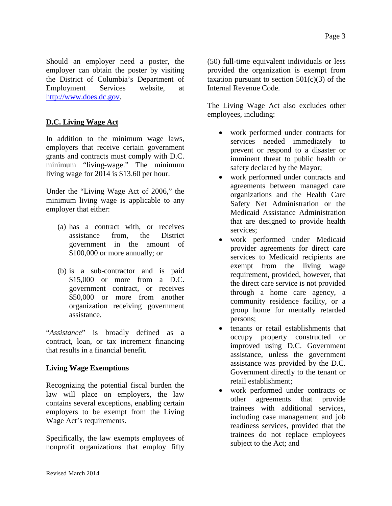Should an employer need a poster, the employer can obtain the poster by visiting the District of Columbia's Department of Employment Services website, at [http://www.does.dc.gov.](http://www.does.dc.gov/)

## **D.C. Living Wage Act**

In addition to the minimum wage laws, employers that receive certain government grants and contracts must comply with D.C. minimum "living-wage." The minimum living wage for 2014 is \$13.60 per hour.

Under the "Living Wage Act of 2006," the minimum living wage is applicable to any employer that either:

- (a) has a contract with, or receives assistance from, the District government in the amount of \$100,000 or more annually; or
- (b) is a sub-contractor and is paid \$15,000 or more from a D.C. government contract, or receives \$50,000 or more from another organization receiving government assistance.

"*Assistance*" is broadly defined as a contract, loan, or tax increment financing that results in a financial benefit.

## **Living Wage Exemptions**

Recognizing the potential fiscal burden the law will place on employers, the law contains several exceptions, enabling certain employers to be exempt from the Living Wage Act's requirements.

Specifically, the law exempts employees of nonprofit organizations that employ fifty (50) full-time equivalent individuals or less provided the organization is exempt from taxation pursuant to section  $501(c)(3)$  of the Internal Revenue Code.

The Living Wage Act also excludes other employees, including:

- work performed under contracts for services needed immediately to prevent or respond to a disaster or imminent threat to public health or safety declared by the Mayor;
- work performed under contracts and agreements between managed care organizations and the Health Care Safety Net Administration or the Medicaid Assistance Administration that are designed to provide health services;
- work performed under Medicaid provider agreements for direct care services to Medicaid recipients are exempt from the living wage requirement, provided, however, that the direct care service is not provided through a home care agency, a community residence facility, or a group home for mentally retarded persons;
- tenants or retail establishments that occupy property constructed or improved using D.C. Government assistance, unless the government assistance was provided by the D.C. Government directly to the tenant or retail establishment;
- work performed under contracts or other agreements that provide trainees with additional services, including case management and job readiness services, provided that the trainees do not replace employees subject to the Act; and